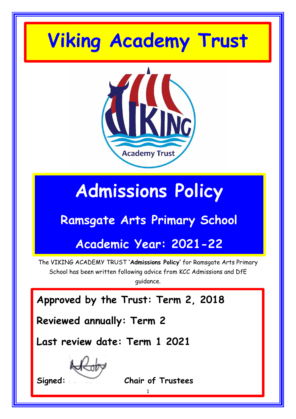# **Viking Academy Trust**



# **Admissions Policy**

# **Ramsgate Arts Primary School**

# **Academic Year: 2021-22**

The VIKING ACADEMY TRUST **'Admissions Policy'** for Ramsgate Arts Primary School has been written following advice from KCC Admissions and DfE guidance.

**Approved by the Trust: Term 2, 2018**

**Reviewed annually: Term 2**

**Last review date: Term 1 2021**

**Signed: Chair of Trustees**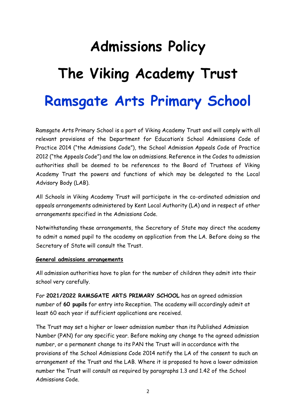# **Admissions Policy The Viking Academy Trust Ramsgate Arts Primary School**

Ramsgate Arts Primary School is a part of Viking Academy Trust and will comply with all relevant provisions of the Department for Education's School Admissions Code of Practice 2014 ("the Admissions Code"), the School Admission Appeals Code of Practice 2012 ("the Appeals Code") and the law on admissions. Reference in the Codes to admission authorities shall be deemed to be references to the Board of Trustees of Viking Academy Trust the powers and functions of which may be delegated to the Local Advisory Body (LAB).

All Schools in Viking Academy Trust will participate in the co-ordinated admission and appeals arrangements administered by Kent Local Authority (LA) and in respect of other arrangements specified in the Admissions Code.

Notwithstanding these arrangements, the Secretary of State may direct the academy to admit a named pupil to the academy on application from the LA. Before doing so the Secretary of State will consult the Trust.

#### **General admissions arrangements**

All admission authorities have to plan for the number of children they admit into their school very carefully.

For **2021/2022 RAMSGATE ARTS PRIMARY SCHOOL** has an agreed admission number of **60 pupils** for entry into Reception. The academy will accordingly admit at least 60 each year if sufficient applications are received.

The Trust may set a higher or lower admission number than its Published Admission Number (PAN) for any specific year. Before making any change to the agreed admission number, or a permanent change to its PAN the Trust will in accordance with the provisions of the School Admissions Code 2014 notify the LA of the consent to such an arrangement of the Trust and the LAB. Where it is proposed to have a lower admission number the Trust will consult as required by paragraphs 1.3 and 1.42 of the School Admissions Code.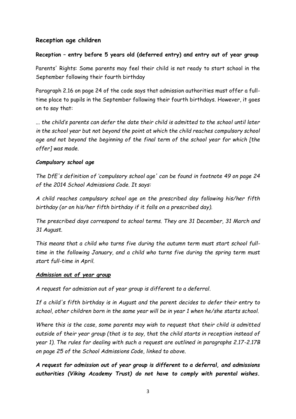#### **Reception age children**

#### **Reception – entry before 5 years old (deferred entry) and entry out of year group**

Parents' Rights: Some parents may feel their child is not ready to start school in the September following their fourth birthday

Paragraph 2.16 on page 24 of the code says that admission authorities must offer a fulltime place to pupils in the September following their fourth birthdays. However, it goes on to say that:

*... the child's parents can defer the date their child is admitted to the school until later in the school year but not beyond the point at which the child reaches compulsory school age and not beyond the beginning of the final term of the school year for which [the offer] was made.*

#### *Compulsory school age*

*The DfE's definition of 'compulsory school age' can be found in footnote 49 on page 24 of the 2014 School Admissions Code. It says:*

*A child reaches compulsory school age on the prescribed day following his/her fifth birthday (or on his/her fifth birthday if it falls on a prescribed day).*

*The prescribed days correspond to school terms. They are 31 December, 31 March and 31 August.*

*This means that a child who turns five during the autumn term must start school fulltime in the following January, and a child who turns five during the spring term must start full-time in April.*

#### *Admission out of year group*

*A request for admission out of year group is different to a deferral.* 

*If a child's fifth birthday is in August and the parent decides to defer their entry to school, other children born in the same year will be in year 1 when he/she starts school.*

*Where this is the case, some parents may wish to request that their child is admitted outside of their year group (that is to say, that the child starts in reception instead of year 1). The rules for dealing with such a request are outlined in paragraphs 2.17-2.17B on page 25 of the School Admissions Code, linked to above.*

*A request for admission out of year group is different to a deferral, and admissions authorities (Viking Academy Trust) do not have to comply with parental wishes.*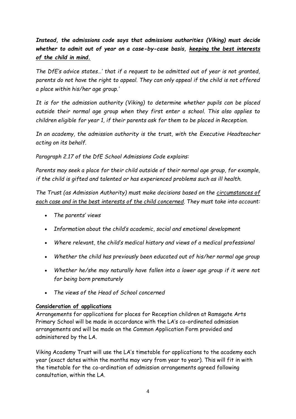*Instead, the admissions code says that admissions authorities (Viking) must decide whether to admit out of year on a case-by-case basis, keeping the best interests of the child in mind.*

*The DfE's advice states…' that if a request to be admitted out of year is not granted, parents do not have the right to appeal. They can only appeal if the child is not offered a place within his/her age group.'*

*It is for the admission authority (Viking) to determine whether pupils can be placed outside their normal age group when they first enter a school. This also applies to children eligible for year 1, if their parents ask for them to be placed in Reception.*

*In an academy, the admission authority is the trust, with the Executive Headteacher acting on its behalf.*

*Paragraph 2.17 of the DfE School Admissions Code explains:*

*Parents may seek a place for their child outside of their normal age group, for example, if the child is gifted and talented or has experienced problems such as ill health.*

*The Trust (as Admission Authority) must make decisions based on the circumstances of each case and in the best interests of the child concerned. They must take into account:*

- *The parents' views*
- *Information about the child's academic, social and emotional development*
- *Where relevant, the child's medical history and views of a medical professional*
- *Whether the child has previously been educated out of his/her normal age group*
- *Whether he/she may naturally have fallen into a lower age group if it were not for being born prematurely*
- *The views of the Head of School concerned*

#### **Consideration of applications**

Arrangements for applications for places for Reception children at Ramsgate Arts Primary School will be made in accordance with the LA's co-ordinated admission arrangements and will be made on the Common Application Form provided and administered by the LA.

Viking Academy Trust will use the LA's timetable for applications to the academy each year (exact dates within the months may vary from year to year). This will fit in with the timetable for the co-ordination of admission arrangements agreed following consultation, within the LA.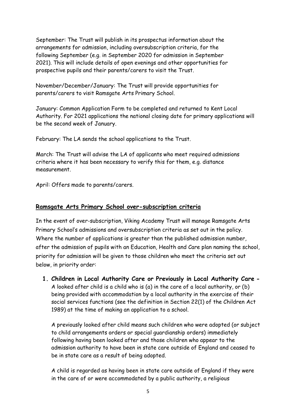September: The Trust will publish in its prospectus information about the arrangements for admission, including oversubscription criteria, for the following September (e.g. in September 2020 for admission in September 2021). This will include details of open evenings and other opportunities for prospective pupils and their parents/carers to visit the Trust.

November/December/January: The Trust will provide opportunities for parents/carers to visit Ramsgate Arts Primary School.

January: Common Application Form to be completed and returned to Kent Local Authority. For 2021 applications the national closing date for primary applications will be the second week of January.

February: The LA sends the school applications to the Trust.

March: The Trust will advise the LA of applicants who meet required admissions criteria where it has been necessary to verify this for them, e.g. distance measurement.

April: Offers made to parents/carers.

#### **Ramsgate Arts Primary School over-subscription criteria**

In the event of over-subscription, Viking Academy Trust will manage Ramsgate Arts Primary School's admissions and oversubscription criteria as set out in the policy. Where the number of applications is greater than the published admission number, after the admission of pupils with an Education, Health and Care plan naming the school, priority for admission will be given to those children who meet the criteria set out below, in priority order:

**1. Children in Local Authority Care or Previously in Local Authority Care -** A looked after child is a child who is (a) in the care of a local authority, or (b) being provided with accommodation by a local authority in the exercise of their social services functions (see the definition in Section 22(1) of the Children Act 1989) at the time of making an application to a school.

A previously looked after child means such children who were adopted (or subject to child arrangements orders or special guardianship orders) immediately following having been looked after and those children who appear to the admission authority to have been in state care outside of England and ceased to be in state care as a result of being adopted.

A child is regarded as having been in state care outside of England if they were in the care of or were accommodated by a public authority, a religious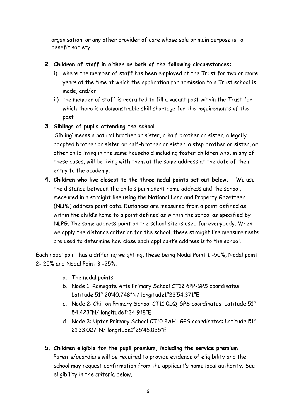organisation, or any other provider of care whose sole or main purpose is to benefit society.

#### **2. Children of staff in either or both of the following circumstances:**

- i) where the member of staff has been employed at the Trust for two or more years at the time at which the application for admission to a Trust school is made, and/or
- ii) the member of staff is recruited to fill a vacant post within the Trust for which there is a demonstrable skill shortage for the requirements of the post

#### **3. Siblings of pupils attending the school.**

'Sibling' means a natural brother or sister, a half brother or sister, a legally adopted brother or sister or half-brother or sister, a step brother or sister, or other child living in the same household including foster children who, in any of these cases, will be living with them at the same address at the date of their entry to the academy.

**4. Children who live closest to the three nodal points set out below.** We use the distance between the child's permanent home address and the school, measured in a straight line using the National Land and Property Gazetteer (NLPG) address point data. Distances are measured from a point defined as within the child's home to a point defined as within the school as specified by NLPG. The same address point on the school site is used for everybody. When we apply the distance criterion for the school, these straight line measurements are used to determine how close each applicant's address is to the school.

Each nodal point has a differing weighting, these being Nodal Point 1 -50%, Nodal point 2- 25% and Nodal Point 3 -25%.

- a. The nodal points:
- b. Node 1: Ramsgate Arts Primary School CT12 6PP-GPS coordinates: Latitude 51° 20'40.748"N/ longitude1°23'54.371"E
- c. Node 2: Chilton Primary School CT11 0LQ-GPS coordinates: Latitude 51° 54.423"N/ longitude1°34.918"E
- d. Node 3: Upton Primary School CT10 2AH- GPS coordinates: Latitude 51° 21'33.027"N/ longitude1°25'46.035"E

# **5. Children eligible for the pupil premium, including the service premium.**

Parents/guardians will be required to provide evidence of eligibility and the school may request confirmation from the applicant's home local authority. See eligibility in the criteria below.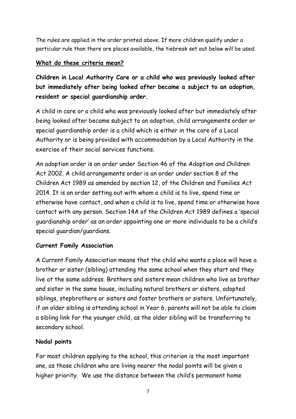The rules are applied in the order printed above. If more children qualify under a particular rule than there are places available, the tiebreak set out below will be used.

# **What do these criteria mean?**

**Children in Local Authority Care or a child who was previously looked after but immediately after being looked after became a subject to an adoption, resident or special guardianship order.** 

A child in care or a child who was previously looked after but immediately after being looked after became subject to an adoption, child arrangements order or special guardianship order is a child which is either in the care of a Local Authority or is being provided with accommodation by a Local Authority in the exercise of their social services functions.

An adoption order is an order under Section 46 of the Adoption and Children Act 2002. A child arrangements order is an order under section 8 of the Children Act 1989 as amended by section 12, of the Children and Families Act 2014. It is an order setting out with whom a child is to live, spend time or otherwise have contact, and when a child is to live, spend time or otherwise have contact with any person. Section 14A of the Children Act 1989 defines a 'special guardianship order' as an order appointing one or more individuals to be a child's special guardian/guardians.

# **Current Family Association**

A Current Family Association means that the child who wants a place will have a brother or sister (sibling) attending the same school when they start and they live at the same address. Brothers and sisters mean children who live as brother and sister in the same house, including natural brothers or sisters, adopted siblings, stepbrothers or sisters and foster brothers or sisters. Unfortunately, if an older sibling is attending school in Year 6, parents will not be able to claim a sibling link for the younger child, as the older sibling will be transferring to secondary school.

# **Nodal points**

For most children applying to the school, this criterion is the most important one, as those children who are living nearer the nodal points will be given a higher priority. We use the distance between the child's permanent home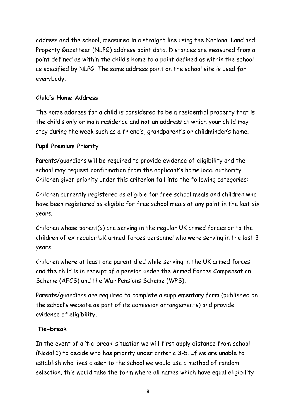address and the school, measured in a straight line using the National Land and Property Gazetteer (NLPG) address point data. Distances are measured from a point defined as within the child's home to a point defined as within the school as specified by NLPG. The same address point on the school site is used for everybody.

# **Child's Home Address**

The home address for a child is considered to be a residential property that is the child's only or main residence and not an address at which your child may stay during the week such as a friend's, grandparent's or childminder's home.

# **Pupil Premium Priority**

Parents/guardians will be required to provide evidence of eligibility and the school may request confirmation from the applicant's home local authority. Children given priority under this criterion fall into the following categories:

Children currently registered as eligible for free school meals and children who have been registered as eligible for free school meals at any point in the last six years.

Children whose parent(s) are serving in the regular UK armed forces or to the children of ex regular UK armed forces personnel who were serving in the last 3 years.

Children where at least one parent died while serving in the UK armed forces and the child is in receipt of a pension under the Armed Forces Compensation Scheme (AFCS) and the War Pensions Scheme (WPS).

Parents/guardians are required to complete a supplementary form (published on the school's website as part of its admission arrangements) and provide evidence of eligibility.

# **Tie-break**

In the event of a 'tie-break' situation we will first apply distance from school (Nodal 1) to decide who has priority under criteria 3-5. If we are unable to establish who lives closer to the school we would use a method of random selection, this would take the form where all names which have equal eligibility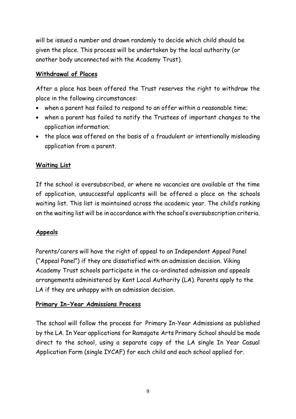will be issued a number and drawn randomly to decide which child should be given the place. This process will be undertaken by the local authority (or another body unconnected with the Academy Trust).

# **Withdrawal of Places**

After a place has been offered the Trust reserves the right to withdraw the place in the following circumstances:

- when a parent has failed to respond to an offer within a reasonable time;
- when a parent has failed to notify the Trustees of important changes to the application information;
- the place was offered on the basis of a fraudulent or intentionally misleading application from a parent.

# **Waiting List**

If the school is oversubscribed, or where no vacancies are available at the time of application, unsuccessful applicants will be offered a place on the schools waiting list. This list is maintained across the academic year. The child's ranking on the waiting list will be in accordance with the school's oversubscription criteria.

# **Appeals**

Parents/carers will have the right of appeal to an Independent Appeal Panel ("Appeal Panel") if they are dissatisfied with an admission decision. Viking Academy Trust schools participate in the co-ordinated admission and appeals arrangements administered by Kent Local Authority (LA). Parents apply to the LA if they are unhappy with an admission decision.

# **Primary In-Year Admissions Process**

The school will follow the process for Primary In-Year Admissions as published by the LA. In Year applications for Ramsgate Arts Primary School should be made direct to the school, using a separate copy of the LA single In Year Casual Application Form (single IYCAF) for each child and each school applied for.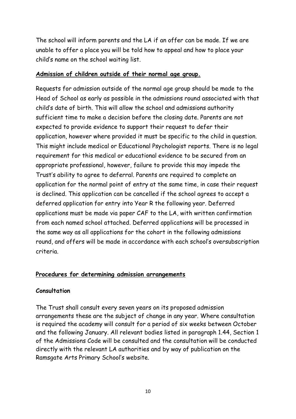The school will inform parents and the LA if an offer can be made. If we are unable to offer a place you will be told how to appeal and how to place your child's name on the school waiting list.

#### **Admission of children outside of their normal age group.**

Requests for admission outside of the normal age group should be made to the Head of School as early as possible in the admissions round associated with that child's date of birth. This will allow the school and admissions authority sufficient time to make a decision before the closing date. Parents are not expected to provide evidence to support their request to defer their application, however where provided it must be specific to the child in question. This might include medical or Educational Psychologist reports. There is no legal requirement for this medical or educational evidence to be secured from an appropriate professional, however, failure to provide this may impede the Trust's ability to agree to deferral. Parents are required to complete an application for the normal point of entry at the same time, in case their request is declined. This application can be cancelled if the school agrees to accept a deferred application for entry into Year R the following year. Deferred applications must be made via paper CAF to the LA, with written confirmation from each named school attached. Deferred applications will be processed in the same way as all applications for the cohort in the following admissions round, and offers will be made in accordance with each school's oversubscription criteria.

# **Procedures for determining admission arrangements**

#### **Consultation**

The Trust shall consult every seven years on its proposed admission arrangements these are the subject of change in any year. Where consultation is required the academy will consult for a period of six weeks between October and the following January. All relevant bodies listed in paragraph 1.44, Section 1 of the Admissions Code will be consulted and the consultation will be conducted directly with the relevant LA authorities and by way of publication on the Ramsgate Arts Primary School's website.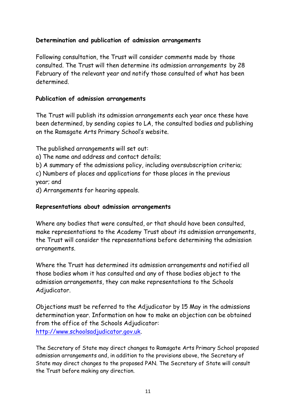# **Determination and publication of admission arrangements**

Following consultation, the Trust will consider comments made by those consulted. The Trust will then determine its admission arrangements by 28 February of the relevant year and notify those consulted of what has been determined.

#### **Publication of admission arrangements**

The Trust will publish its admission arrangements each year once these have been determined, by sending copies to LA, the consulted bodies and publishing on the Ramsgate Arts Primary School's website.

The published arrangements will set out:

a) The name and address and contact details;

b) A summary of the admissions policy, including oversubscription criteria;

c) Numbers of places and applications for those places in the previous year; and

d) Arrangements for hearing appeals.

#### **Representations about admission arrangements**

Where any bodies that were consulted, or that should have been consulted, make representations to the Academy Trust about its admission arrangements, the Trust will consider the representations before determining the admission arrangements.

Where the Trust has determined its admission arrangements and notified all those bodies whom it has consulted and any of those bodies object to the admission arrangements, they can make representations to the Schools Adjudicator.

Objections must be referred to the Adjudicator by 15 May in the admissions determination year. Information on how to make an objection can be obtained from the office of the Schools Adjudicator: [http://www.schoolsadjudicator.gov.uk.](http://www.schoolsadjudicator.gov.uk/)

The Secretary of State may direct changes to Ramsgate Arts Primary School proposed admission arrangements and, in addition to the provisions above, the Secretary of State may direct changes to the proposed PAN. The Secretary of State will consult the Trust before making any direction.